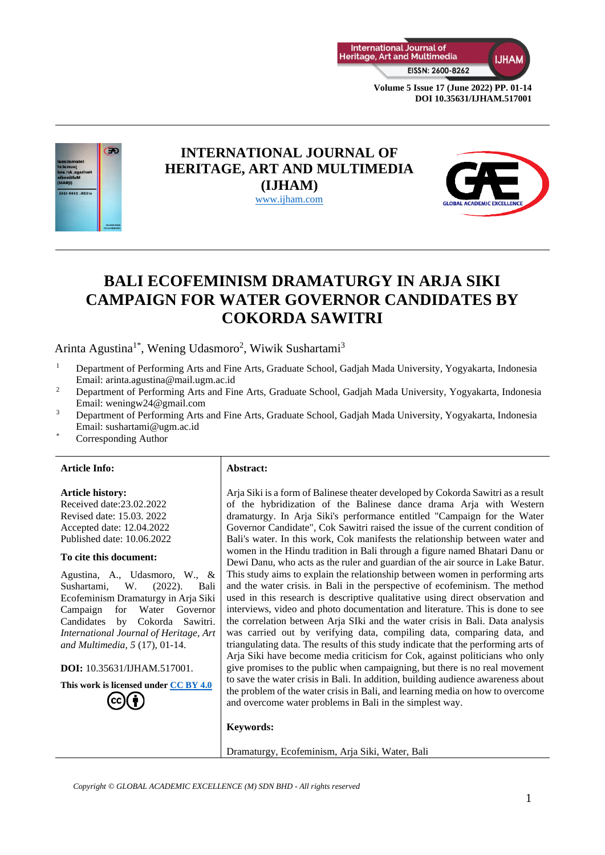



## **INTERNATIONAL JOURNAL OF HERITAGE, ART AND MULTIMEDIA (IJHAM)** [www.ijham.com](http://www.ijham.com/)



# **BALI ECOFEMINISM DRAMATURGY IN ARJA SIKI CAMPAIGN FOR WATER GOVERNOR CANDIDATES BY COKORDA SAWITRI**

Arinta Agustina<sup>1\*</sup>, Wening Udasmoro<sup>2</sup>, Wiwik Sushartami<sup>3</sup>

- <sup>1</sup> Department of Performing Arts and Fine Arts, Graduate School, Gadjah Mada University, Yogyakarta, Indonesia Email: arinta.agustina@mail.ugm.ac.id
- <sup>2</sup> Department of Performing Arts and Fine Arts, Graduate School, Gadjah Mada University, Yogyakarta, Indonesia Email: [weningw24@gmail.com](mailto:weningw24@gmail.com)
- <sup>3</sup> Department of Performing Arts and Fine Arts, Graduate School, Gadjah Mada University, Yogyakarta, Indonesia Email: [sushartami@ugm.ac.id](mailto:sushartami@ugm.ac.id)
- Corresponding Author

#### **Article Info: Abstract:**

# **Article history:**

Received date:23.02.2022 Revised date: 15.03. 2022 Accepted date: 12.04.2022 Published date: 10.06.2022

#### **To cite this document:**

Agustina, A., Udasmoro, W., & Sushartami, W. (2022). Bali Ecofeminism Dramaturgy in Arja Siki Campaign for Water Governor Candidates by Cokorda Sawitri. *International Journal of Heritage, Art and Multimedia, 5* (17), 01-14.

**DOI:** 10.35631/IJHAM.517001.

**This work is licensed under [CC BY 4.0](https://creativecommons.org/licenses/by/4.0/?ref=chooser-v1)**

Arja Siki is a form of Balinese theater developed by Cokorda Sawitri as a result of the hybridization of the Balinese dance drama Arja with Western dramaturgy. In Arja Siki's performance entitled "Campaign for the Water Governor Candidate", Cok Sawitri raised the issue of the current condition of Bali's water. In this work, Cok manifests the relationship between water and women in the Hindu tradition in Bali through a figure named Bhatari Danu or Dewi Danu, who acts as the ruler and guardian of the air source in Lake Batur. This study aims to explain the relationship between women in performing arts and the water crisis. in Bali in the perspective of ecofeminism. The method used in this research is descriptive qualitative using direct observation and interviews, video and photo documentation and literature. This is done to see the correlation between Arja SIki and the water crisis in Bali. Data analysis was carried out by verifying data, compiling data, comparing data, and triangulating data. The results of this study indicate that the performing arts of Arja Siki have become media criticism for Cok, against politicians who only give promises to the public when campaigning, but there is no real movement to save the water crisis in Bali. In addition, building audience awareness about the problem of the water crisis in Bali, and learning media on how to overcome and overcome water problems in Bali in the simplest way.

#### **Keywords:**

Dramaturgy, Ecofeminism, Arja Siki, Water, Bali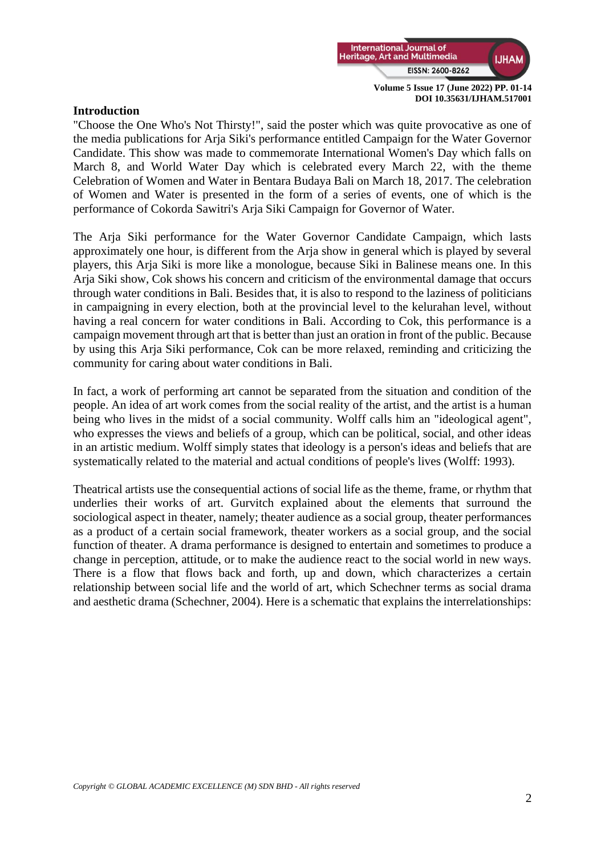

## **Introduction**

"Choose the One Who's Not Thirsty!", said the poster which was quite provocative as one of the media publications for Arja Siki's performance entitled Campaign for the Water Governor Candidate. This show was made to commemorate International Women's Day which falls on March 8, and World Water Day which is celebrated every March 22, with the theme Celebration of Women and Water in Bentara Budaya Bali on March 18, 2017. The celebration of Women and Water is presented in the form of a series of events, one of which is the performance of Cokorda Sawitri's Arja Siki Campaign for Governor of Water.

The Arja Siki performance for the Water Governor Candidate Campaign, which lasts approximately one hour, is different from the Arja show in general which is played by several players, this Arja Siki is more like a monologue, because Siki in Balinese means one. In this Arja Siki show, Cok shows his concern and criticism of the environmental damage that occurs through water conditions in Bali. Besides that, it is also to respond to the laziness of politicians in campaigning in every election, both at the provincial level to the kelurahan level, without having a real concern for water conditions in Bali. According to Cok, this performance is a campaign movement through art that is better than just an oration in front of the public. Because by using this Arja Siki performance, Cok can be more relaxed, reminding and criticizing the community for caring about water conditions in Bali.

In fact, a work of performing art cannot be separated from the situation and condition of the people. An idea of art work comes from the social reality of the artist, and the artist is a human being who lives in the midst of a social community. Wolff calls him an "ideological agent", who expresses the views and beliefs of a group, which can be political, social, and other ideas in an artistic medium. Wolff simply states that ideology is a person's ideas and beliefs that are systematically related to the material and actual conditions of people's lives (Wolff: 1993).

Theatrical artists use the consequential actions of social life as the theme, frame, or rhythm that underlies their works of art. Gurvitch explained about the elements that surround the sociological aspect in theater, namely; theater audience as a social group, theater performances as a product of a certain social framework, theater workers as a social group, and the social function of theater. A drama performance is designed to entertain and sometimes to produce a change in perception, attitude, or to make the audience react to the social world in new ways. There is a flow that flows back and forth, up and down, which characterizes a certain relationship between social life and the world of art, which Schechner terms as social drama and aesthetic drama (Schechner, 2004). Here is a schematic that explains the interrelationships: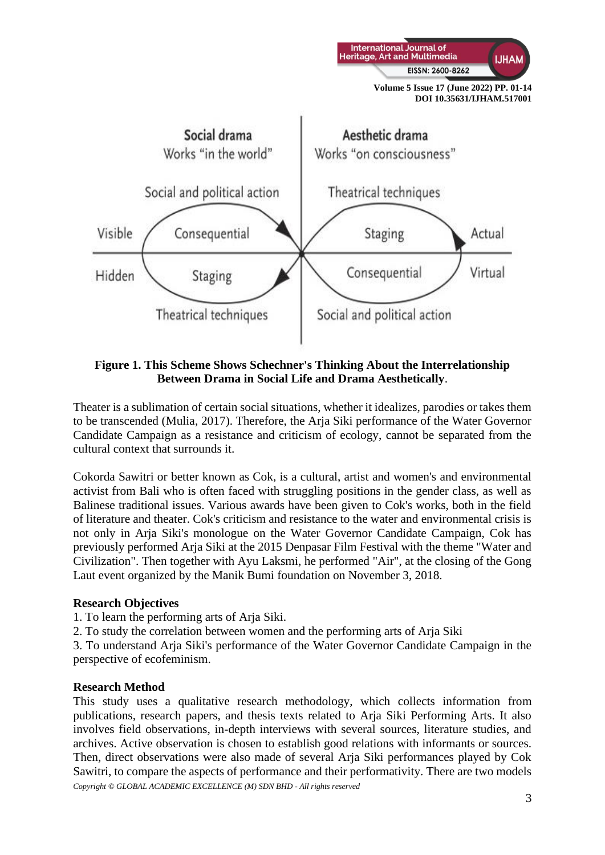

**Figure 1. This Scheme Shows Schechner's Thinking About the Interrelationship Between Drama in Social Life and Drama Aesthetically**.

Theater is a sublimation of certain social situations, whether it idealizes, parodies or takes them to be transcended (Mulia, 2017). Therefore, the Arja Siki performance of the Water Governor Candidate Campaign as a resistance and criticism of ecology, cannot be separated from the cultural context that surrounds it.

Cokorda Sawitri or better known as Cok, is a cultural, artist and women's and environmental activist from Bali who is often faced with struggling positions in the gender class, as well as Balinese traditional issues. Various awards have been given to Cok's works, both in the field of literature and theater. Cok's criticism and resistance to the water and environmental crisis is not only in Arja Siki's monologue on the Water Governor Candidate Campaign, Cok has previously performed Arja Siki at the 2015 Denpasar Film Festival with the theme "Water and Civilization". Then together with Ayu Laksmi, he performed "Air", at the closing of the Gong Laut event organized by the Manik Bumi foundation on November 3, 2018.

## **Research Objectives**

- 1. To learn the performing arts of Arja Siki.
- 2. To study the correlation between women and the performing arts of Arja Siki

3. To understand Arja Siki's performance of the Water Governor Candidate Campaign in the perspective of ecofeminism.

## **Research Method**

*Copyright © GLOBAL ACADEMIC EXCELLENCE (M) SDN BHD - All rights reserved* This study uses a qualitative research methodology, which collects information from publications, research papers, and thesis texts related to Arja Siki Performing Arts. It also involves field observations, in-depth interviews with several sources, literature studies, and archives. Active observation is chosen to establish good relations with informants or sources. Then, direct observations were also made of several Arja Siki performances played by Cok Sawitri, to compare the aspects of performance and their performativity. There are two models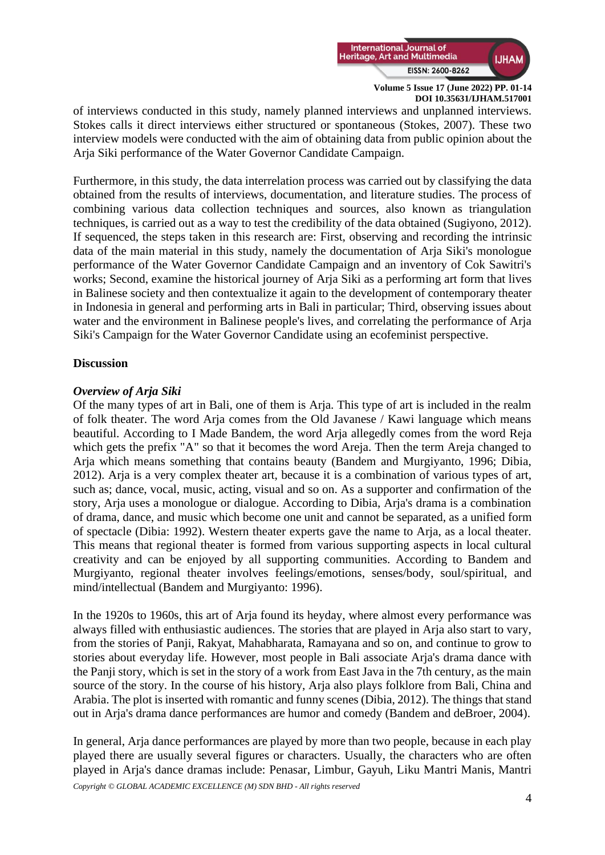

of interviews conducted in this study, namely planned interviews and unplanned interviews. Stokes calls it direct interviews either structured or spontaneous (Stokes, 2007). These two interview models were conducted with the aim of obtaining data from public opinion about the Arja Siki performance of the Water Governor Candidate Campaign.

Furthermore, in this study, the data interrelation process was carried out by classifying the data obtained from the results of interviews, documentation, and literature studies. The process of combining various data collection techniques and sources, also known as triangulation techniques, is carried out as a way to test the credibility of the data obtained (Sugiyono, 2012). If sequenced, the steps taken in this research are: First, observing and recording the intrinsic data of the main material in this study, namely the documentation of Arja Siki's monologue performance of the Water Governor Candidate Campaign and an inventory of Cok Sawitri's works; Second, examine the historical journey of Arja Siki as a performing art form that lives in Balinese society and then contextualize it again to the development of contemporary theater in Indonesia in general and performing arts in Bali in particular; Third, observing issues about water and the environment in Balinese people's lives, and correlating the performance of Arja Siki's Campaign for the Water Governor Candidate using an ecofeminist perspective.

## **Discussion**

## *Overview of Arja Siki*

Of the many types of art in Bali, one of them is Arja. This type of art is included in the realm of folk theater. The word Arja comes from the Old Javanese / Kawi language which means beautiful. According to I Made Bandem, the word Arja allegedly comes from the word Reja which gets the prefix "A" so that it becomes the word Areja. Then the term Areja changed to Arja which means something that contains beauty (Bandem and Murgiyanto, 1996; Dibia, 2012). Arja is a very complex theater art, because it is a combination of various types of art, such as; dance, vocal, music, acting, visual and so on. As a supporter and confirmation of the story, Arja uses a monologue or dialogue. According to Dibia, Arja's drama is a combination of drama, dance, and music which become one unit and cannot be separated, as a unified form of spectacle (Dibia: 1992). Western theater experts gave the name to Arja, as a local theater. This means that regional theater is formed from various supporting aspects in local cultural creativity and can be enjoyed by all supporting communities. According to Bandem and Murgiyanto, regional theater involves feelings/emotions, senses/body, soul/spiritual, and mind/intellectual (Bandem and Murgiyanto: 1996).

In the 1920s to 1960s, this art of Arja found its heyday, where almost every performance was always filled with enthusiastic audiences. The stories that are played in Arja also start to vary, from the stories of Panji, Rakyat, Mahabharata, Ramayana and so on, and continue to grow to stories about everyday life. However, most people in Bali associate Arja's drama dance with the Panji story, which is set in the story of a work from East Java in the 7th century, as the main source of the story. In the course of his history, Arja also plays folklore from Bali, China and Arabia. The plot is inserted with romantic and funny scenes (Dibia, 2012). The things that stand out in Arja's drama dance performances are humor and comedy (Bandem and deBroer, 2004).

In general, Arja dance performances are played by more than two people, because in each play played there are usually several figures or characters. Usually, the characters who are often played in Arja's dance dramas include: Penasar, Limbur, Gayuh, Liku Mantri Manis, Mantri

*Copyright © GLOBAL ACADEMIC EXCELLENCE (M) SDN BHD - All rights reserved*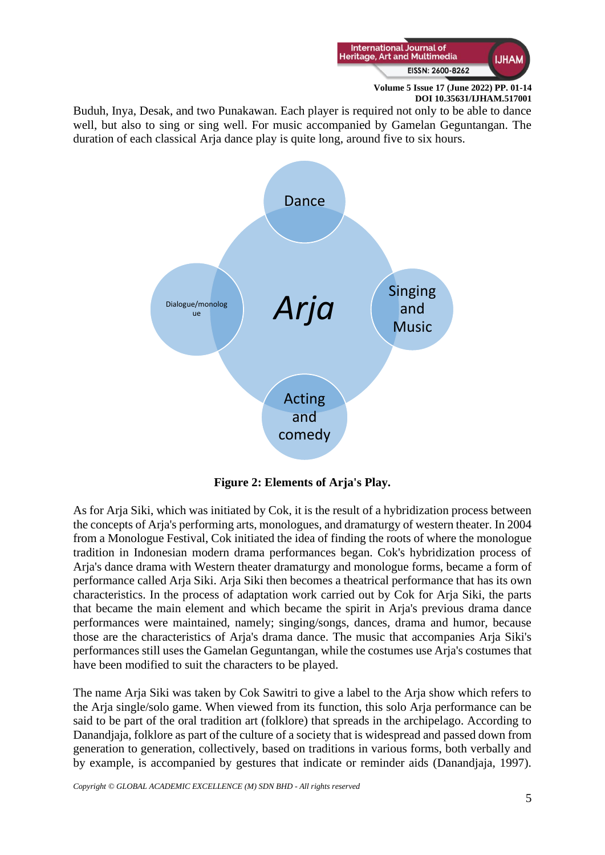

Buduh, Inya, Desak, and two Punakawan. Each player is required not only to be able to dance well, but also to sing or sing well. For music accompanied by Gamelan Geguntangan. The duration of each classical Arja dance play is quite long, around five to six hours.



**Figure 2: Elements of Arja's Play.**

As for Arja Siki, which was initiated by Cok, it is the result of a hybridization process between the concepts of Arja's performing arts, monologues, and dramaturgy of western theater. In 2004 from a Monologue Festival, Cok initiated the idea of finding the roots of where the monologue tradition in Indonesian modern drama performances began. Cok's hybridization process of Arja's dance drama with Western theater dramaturgy and monologue forms, became a form of performance called Arja Siki. Arja Siki then becomes a theatrical performance that has its own characteristics. In the process of adaptation work carried out by Cok for Arja Siki, the parts that became the main element and which became the spirit in Arja's previous drama dance performances were maintained, namely; singing/songs, dances, drama and humor, because those are the characteristics of Arja's drama dance. The music that accompanies Arja Siki's performances still uses the Gamelan Geguntangan, while the costumes use Arja's costumes that have been modified to suit the characters to be played.

The name Arja Siki was taken by Cok Sawitri to give a label to the Arja show which refers to the Arja single/solo game. When viewed from its function, this solo Arja performance can be said to be part of the oral tradition art (folklore) that spreads in the archipelago. According to Danandjaja, folklore as part of the culture of a society that is widespread and passed down from generation to generation, collectively, based on traditions in various forms, both verbally and by example, is accompanied by gestures that indicate or reminder aids (Danandjaja, 1997).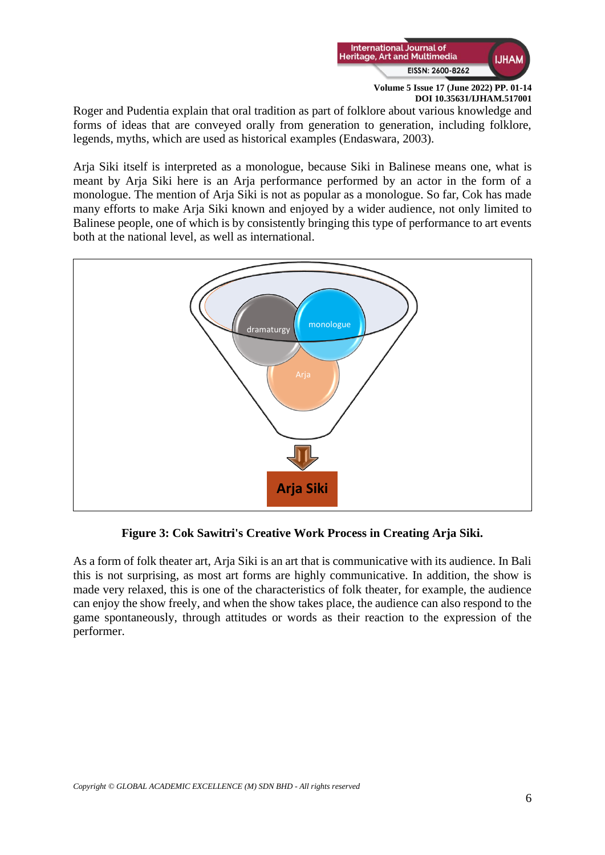

Roger and Pudentia explain that oral tradition as part of folklore about various knowledge and forms of ideas that are conveyed orally from generation to generation, including folklore, legends, myths, which are used as historical examples (Endaswara, 2003).

Arja Siki itself is interpreted as a monologue, because Siki in Balinese means one, what is meant by Arja Siki here is an Arja performance performed by an actor in the form of a monologue. The mention of Arja Siki is not as popular as a monologue. So far, Cok has made many efforts to make Arja Siki known and enjoyed by a wider audience, not only limited to Balinese people, one of which is by consistently bringing this type of performance to art events both at the national level, as well as international.



**Figure 3: Cok Sawitri's Creative Work Process in Creating Arja Siki.**

As a form of folk theater art, Arja Siki is an art that is communicative with its audience. In Bali this is not surprising, as most art forms are highly communicative. In addition, the show is made very relaxed, this is one of the characteristics of folk theater, for example, the audience can enjoy the show freely, and when the show takes place, the audience can also respond to the game spontaneously, through attitudes or words as their reaction to the expression of the performer.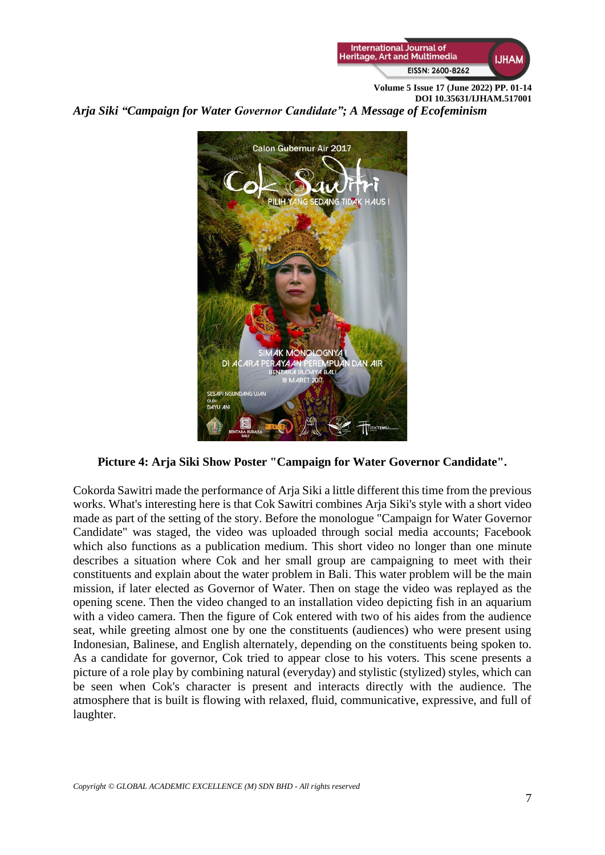

*Arja Siki "Campaign for Water Governor Candidate"; A Message of Ecofeminism* 



**Picture 4: Arja Siki Show Poster "Campaign for Water Governor Candidate".** 

Cokorda Sawitri made the performance of Arja Siki a little different this time from the previous works. What's interesting here is that Cok Sawitri combines Arja Siki's style with a short video made as part of the setting of the story. Before the monologue "Campaign for Water Governor Candidate" was staged, the video was uploaded through social media accounts; Facebook which also functions as a publication medium. This short video no longer than one minute describes a situation where Cok and her small group are campaigning to meet with their constituents and explain about the water problem in Bali. This water problem will be the main mission, if later elected as Governor of Water. Then on stage the video was replayed as the opening scene. Then the video changed to an installation video depicting fish in an aquarium with a video camera. Then the figure of Cok entered with two of his aides from the audience seat, while greeting almost one by one the constituents (audiences) who were present using Indonesian, Balinese, and English alternately, depending on the constituents being spoken to. As a candidate for governor, Cok tried to appear close to his voters. This scene presents a picture of a role play by combining natural (everyday) and stylistic (stylized) styles, which can be seen when Cok's character is present and interacts directly with the audience. The atmosphere that is built is flowing with relaxed, fluid, communicative, expressive, and full of laughter.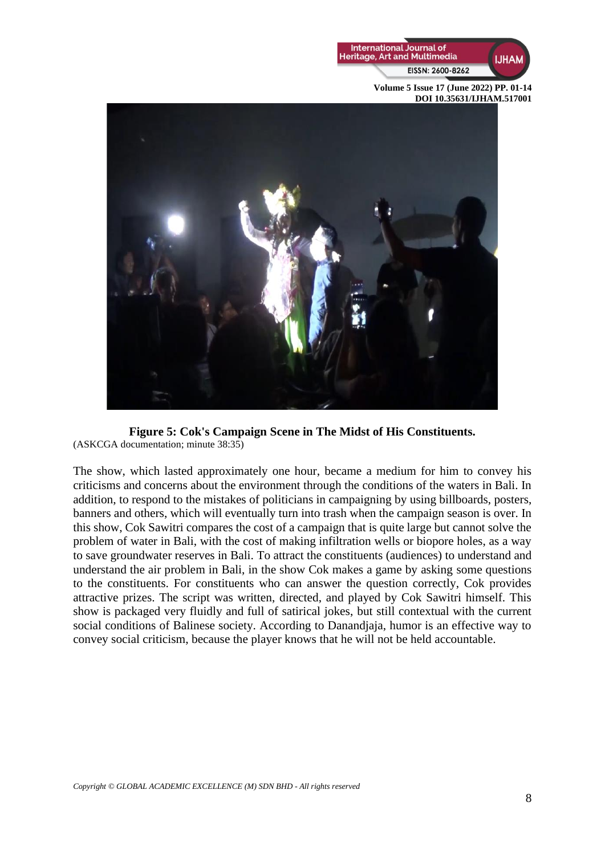



**Figure 5: Cok's Campaign Scene in The Midst of His Constituents.**  (ASKCGA documentation; minute 38:35)

The show, which lasted approximately one hour, became a medium for him to convey his criticisms and concerns about the environment through the conditions of the waters in Bali. In addition, to respond to the mistakes of politicians in campaigning by using billboards, posters, banners and others, which will eventually turn into trash when the campaign season is over. In this show, Cok Sawitri compares the cost of a campaign that is quite large but cannot solve the problem of water in Bali, with the cost of making infiltration wells or biopore holes, as a way to save groundwater reserves in Bali. To attract the constituents (audiences) to understand and understand the air problem in Bali, in the show Cok makes a game by asking some questions to the constituents. For constituents who can answer the question correctly, Cok provides attractive prizes. The script was written, directed, and played by Cok Sawitri himself. This show is packaged very fluidly and full of satirical jokes, but still contextual with the current social conditions of Balinese society. According to Danandjaja, humor is an effective way to convey social criticism, because the player knows that he will not be held accountable.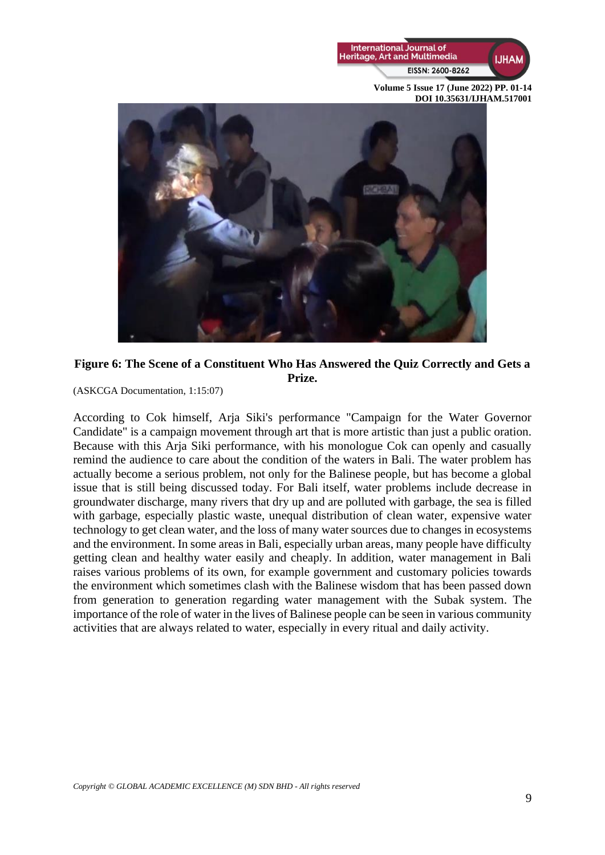



**Figure 6: The Scene of a Constituent Who Has Answered the Quiz Correctly and Gets a Prize.**

(ASKCGA Documentation, 1:15:07)

According to Cok himself, Arja Siki's performance "Campaign for the Water Governor Candidate" is a campaign movement through art that is more artistic than just a public oration. Because with this Arja Siki performance, with his monologue Cok can openly and casually remind the audience to care about the condition of the waters in Bali. The water problem has actually become a serious problem, not only for the Balinese people, but has become a global issue that is still being discussed today. For Bali itself, water problems include decrease in groundwater discharge, many rivers that dry up and are polluted with garbage, the sea is filled with garbage, especially plastic waste, unequal distribution of clean water, expensive water technology to get clean water, and the loss of many water sources due to changes in ecosystems and the environment. In some areas in Bali, especially urban areas, many people have difficulty getting clean and healthy water easily and cheaply. In addition, water management in Bali raises various problems of its own, for example government and customary policies towards the environment which sometimes clash with the Balinese wisdom that has been passed down from generation to generation regarding water management with the Subak system. The importance of the role of water in the lives of Balinese people can be seen in various community activities that are always related to water, especially in every ritual and daily activity.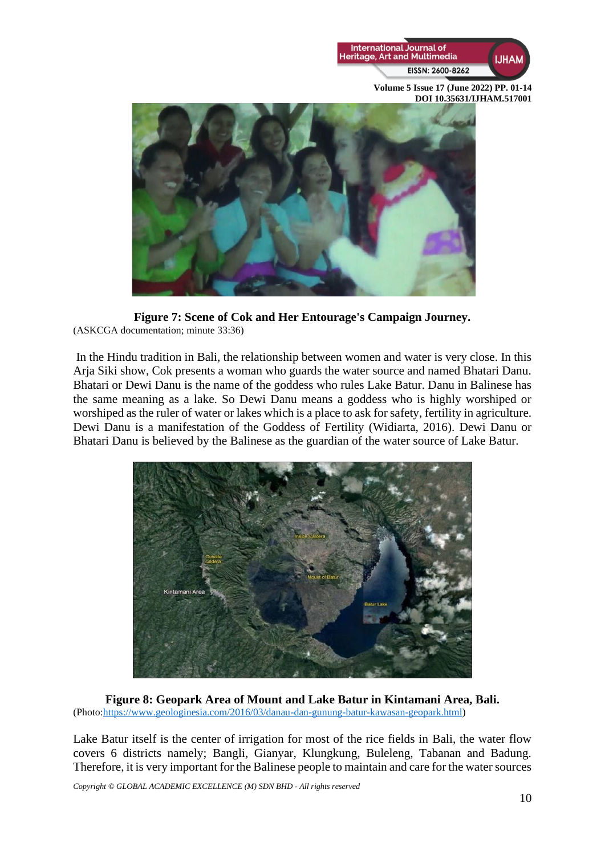



**Figure 7: Scene of Cok and Her Entourage's Campaign Journey.**  (ASKCGA documentation; minute 33:36)

In the Hindu tradition in Bali, the relationship between women and water is very close. In this Arja Siki show, Cok presents a woman who guards the water source and named Bhatari Danu. Bhatari or Dewi Danu is the name of the goddess who rules Lake Batur. Danu in Balinese has the same meaning as a lake. So Dewi Danu means a goddess who is highly worshiped or worshiped as the ruler of water or lakes which is a place to ask for safety, fertility in agriculture. Dewi Danu is a manifestation of the Goddess of Fertility (Widiarta, 2016). Dewi Danu or Bhatari Danu is believed by the Balinese as the guardian of the water source of Lake Batur.



**Figure 8: Geopark Area of Mount and Lake Batur in Kintamani Area, Bali.** (Photo[:https://www.geologinesia.com/2016/03/danau-dan-gunung-batur-kawasan-geopark.html\)](https://www.geologinesia.com/2016/03/danau-dan-gunung-batur-kawasan-geopark.html)

Lake Batur itself is the center of irrigation for most of the rice fields in Bali, the water flow covers 6 districts namely; Bangli, Gianyar, Klungkung, Buleleng, Tabanan and Badung. Therefore, it is very important for the Balinese people to maintain and care for the water sources

*Copyright © GLOBAL ACADEMIC EXCELLENCE (M) SDN BHD - All rights reserved*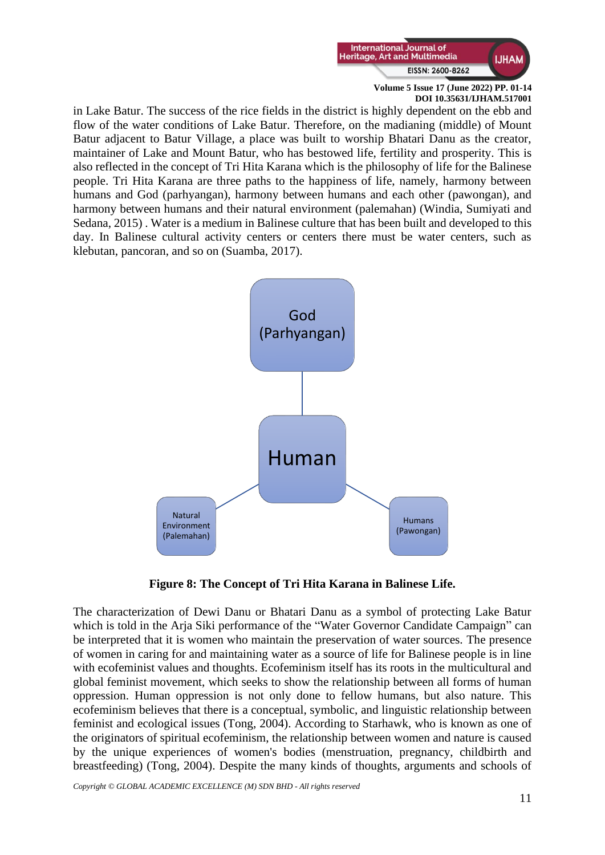

in Lake Batur. The success of the rice fields in the district is highly dependent on the ebb and flow of the water conditions of Lake Batur. Therefore, on the madianing (middle) of Mount Batur adjacent to Batur Village, a place was built to worship Bhatari Danu as the creator, maintainer of Lake and Mount Batur, who has bestowed life, fertility and prosperity. This is also reflected in the concept of Tri Hita Karana which is the philosophy of life for the Balinese people. Tri Hita Karana are three paths to the happiness of life, namely, harmony between humans and God (parhyangan), harmony between humans and each other (pawongan), and harmony between humans and their natural environment (palemahan) (Windia, Sumiyati and Sedana, 2015) . Water is a medium in Balinese culture that has been built and developed to this day. In Balinese cultural activity centers or centers there must be water centers, such as klebutan, pancoran, and so on (Suamba, 2017).



**Figure 8: The Concept of Tri Hita Karana in Balinese Life.**

The characterization of Dewi Danu or Bhatari Danu as a symbol of protecting Lake Batur which is told in the Arja Siki performance of the "Water Governor Candidate Campaign" can be interpreted that it is women who maintain the preservation of water sources. The presence of women in caring for and maintaining water as a source of life for Balinese people is in line with ecofeminist values and thoughts. Ecofeminism itself has its roots in the multicultural and global feminist movement, which seeks to show the relationship between all forms of human oppression. Human oppression is not only done to fellow humans, but also nature. This ecofeminism believes that there is a conceptual, symbolic, and linguistic relationship between feminist and ecological issues (Tong, 2004). According to Starhawk, who is known as one of the originators of spiritual ecofeminism, the relationship between women and nature is caused by the unique experiences of women's bodies (menstruation, pregnancy, childbirth and breastfeeding) (Tong, 2004). Despite the many kinds of thoughts, arguments and schools of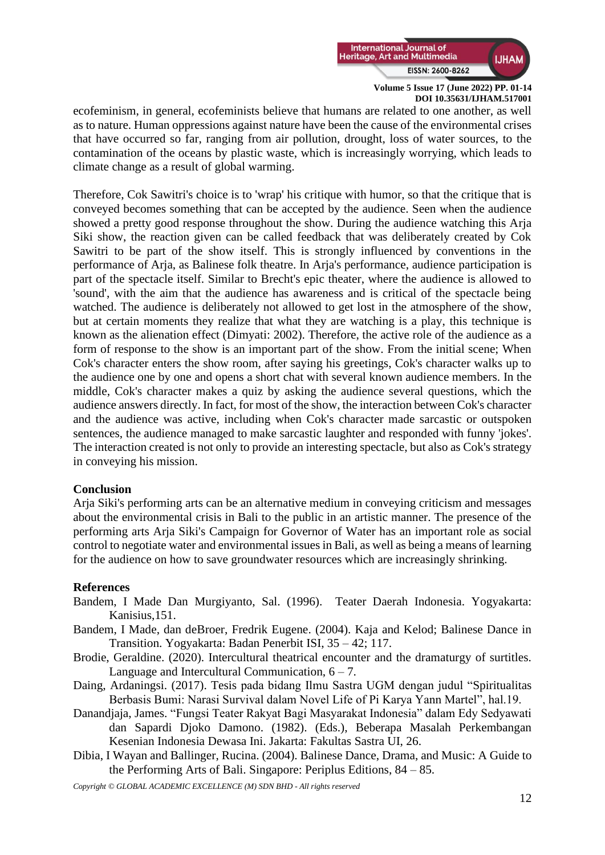

ecofeminism, in general, ecofeminists believe that humans are related to one another, as well as to nature. Human oppressions against nature have been the cause of the environmental crises that have occurred so far, ranging from air pollution, drought, loss of water sources, to the contamination of the oceans by plastic waste, which is increasingly worrying, which leads to climate change as a result of global warming.

Therefore, Cok Sawitri's choice is to 'wrap' his critique with humor, so that the critique that is conveyed becomes something that can be accepted by the audience. Seen when the audience showed a pretty good response throughout the show. During the audience watching this Arja Siki show, the reaction given can be called feedback that was deliberately created by Cok Sawitri to be part of the show itself. This is strongly influenced by conventions in the performance of Arja, as Balinese folk theatre. In Arja's performance, audience participation is part of the spectacle itself. Similar to Brecht's epic theater, where the audience is allowed to 'sound', with the aim that the audience has awareness and is critical of the spectacle being watched. The audience is deliberately not allowed to get lost in the atmosphere of the show, but at certain moments they realize that what they are watching is a play, this technique is known as the alienation effect (Dimyati: 2002). Therefore, the active role of the audience as a form of response to the show is an important part of the show. From the initial scene; When Cok's character enters the show room, after saying his greetings, Cok's character walks up to the audience one by one and opens a short chat with several known audience members. In the middle, Cok's character makes a quiz by asking the audience several questions, which the audience answers directly. In fact, for most of the show, the interaction between Cok's character and the audience was active, including when Cok's character made sarcastic or outspoken sentences, the audience managed to make sarcastic laughter and responded with funny 'jokes'. The interaction created is not only to provide an interesting spectacle, but also as Cok's strategy in conveying his mission.

## **Conclusion**

Arja Siki's performing arts can be an alternative medium in conveying criticism and messages about the environmental crisis in Bali to the public in an artistic manner. The presence of the performing arts Arja Siki's Campaign for Governor of Water has an important role as social control to negotiate water and environmental issues in Bali, as well as being a means of learning for the audience on how to save groundwater resources which are increasingly shrinking.

## **References**

- Bandem, I Made Dan Murgiyanto, Sal. (1996). Teater Daerah Indonesia. Yogyakarta: Kanisius,151.
- Bandem, I Made, dan deBroer, Fredrik Eugene. (2004). Kaja and Kelod; Balinese Dance in Transition. Yogyakarta: Badan Penerbit ISI, 35 – 42; 117.
- Brodie, Geraldine. (2020). Intercultural theatrical encounter and the dramaturgy of surtitles. Language and Intercultural Communication,  $6 - 7$ .
- Daing, Ardaningsi. (2017). Tesis pada bidang Ilmu Sastra UGM dengan judul "Spiritualitas Berbasis Bumi: Narasi Survival dalam Novel Life of Pi Karya Yann Martel", hal.19.
- Danandjaja, James. "Fungsi Teater Rakyat Bagi Masyarakat Indonesia" dalam Edy Sedyawati dan Sapardi Djoko Damono. (1982). (Eds.), Beberapa Masalah Perkembangan Kesenian Indonesia Dewasa Ini. Jakarta: Fakultas Sastra UI, 26.
- Dibia, I Wayan and Ballinger, Rucina. (2004). Balinese Dance, Drama, and Music: A Guide to the Performing Arts of Bali. Singapore: Periplus Editions, 84 – 85.

*Copyright © GLOBAL ACADEMIC EXCELLENCE (M) SDN BHD - All rights reserved*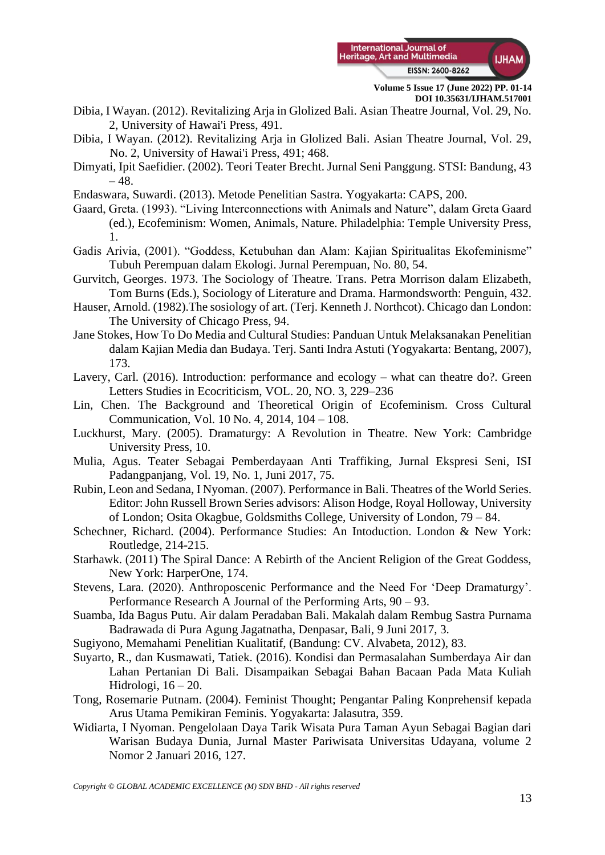

- Dibia, I Wayan. (2012). Revitalizing Arja in Glolized Bali. Asian Theatre Journal, Vol. 29, No. 2, University of Hawai'i Press, 491.
- Dibia, I Wayan. (2012). Revitalizing Arja in Glolized Bali. Asian Theatre Journal, Vol. 29, No. 2, University of Hawai'i Press, 491; 468.
- Dimyati, Ipit Saefidier. (2002). Teori Teater Brecht. Jurnal Seni Panggung. STSI: Bandung, 43  $-48.$
- Endaswara, Suwardi. (2013). Metode Penelitian Sastra. Yogyakarta: CAPS, 200.
- Gaard, Greta. (1993). "Living Interconnections with Animals and Nature", dalam Greta Gaard (ed.), Ecofeminism: Women, Animals, Nature. Philadelphia: Temple University Press, 1.
- Gadis Arivia, (2001). "Goddess, Ketubuhan dan Alam: Kajian Spiritualitas Ekofeminisme" Tubuh Perempuan dalam Ekologi. Jurnal Perempuan, No. 80, 54.
- Gurvitch, Georges. 1973. The Sociology of Theatre. Trans. Petra Morrison dalam Elizabeth, Tom Burns (Eds.), Sociology of Literature and Drama. Harmondsworth: Penguin, 432.
- Hauser, Arnold. (1982).The sosiology of art. (Terj. Kenneth J. Northcot). Chicago dan London: The University of Chicago Press, 94.
- Jane Stokes, How To Do Media and Cultural Studies: Panduan Untuk Melaksanakan Penelitian dalam Kajian Media dan Budaya. Terj. Santi Indra Astuti (Yogyakarta: Bentang, 2007), 173.
- Lavery, Carl. (2016). Introduction: performance and ecology what can theatre do?. Green Letters Studies in Ecocriticism, VOL. 20, NO. 3, 229–236
- Lin, Chen. The Background and Theoretical Origin of Ecofeminism. Cross Cultural Communication, Vol. 10 No. 4, 2014, 104 – 108.
- Luckhurst, Mary. (2005). Dramaturgy: A Revolution in Theatre. New York: Cambridge University Press, 10.
- Mulia, Agus. Teater Sebagai Pemberdayaan Anti Traffiking, Jurnal Ekspresi Seni, ISI Padangpanjang, Vol. 19, No. 1, Juni 2017, 75.
- Rubin, Leon and Sedana, I Nyoman. (2007). Performance in Bali. Theatres of the World Series. Editor: John Russell Brown Series advisors: Alison Hodge, Royal Holloway, University of London; Osita Okagbue, Goldsmiths College, University of London, 79 – 84.
- Schechner, Richard. (2004). Performance Studies: An Intoduction. London & New York: Routledge, 214-215.
- Starhawk. (2011) The Spiral Dance: A Rebirth of the Ancient Religion of the Great Goddess, New York: HarperOne, 174.
- Stevens, Lara. (2020). Anthroposcenic Performance and the Need For 'Deep Dramaturgy'. Performance Research A Journal of the Performing Arts, 90 – 93.
- Suamba, Ida Bagus Putu. Air dalam Peradaban Bali. Makalah dalam Rembug Sastra Purnama Badrawada di Pura Agung Jagatnatha, Denpasar, Bali, 9 Juni 2017, 3.
- Sugiyono, Memahami Penelitian Kualitatif, (Bandung: CV. Alvabeta, 2012), 83.
- Suyarto, R., dan Kusmawati, Tatiek. (2016). Kondisi dan Permasalahan Sumberdaya Air dan Lahan Pertanian Di Bali. Disampaikan Sebagai Bahan Bacaan Pada Mata Kuliah Hidrologi,  $16 - 20$ .
- Tong, Rosemarie Putnam. (2004). Feminist Thought; Pengantar Paling Konprehensif kepada Arus Utama Pemikiran Feminis. Yogyakarta: Jalasutra, 359.
- Widiarta, I Nyoman. Pengelolaan Daya Tarik Wisata Pura Taman Ayun Sebagai Bagian dari Warisan Budaya Dunia, Jurnal Master Pariwisata Universitas Udayana, volume 2 Nomor 2 Januari 2016, 127.